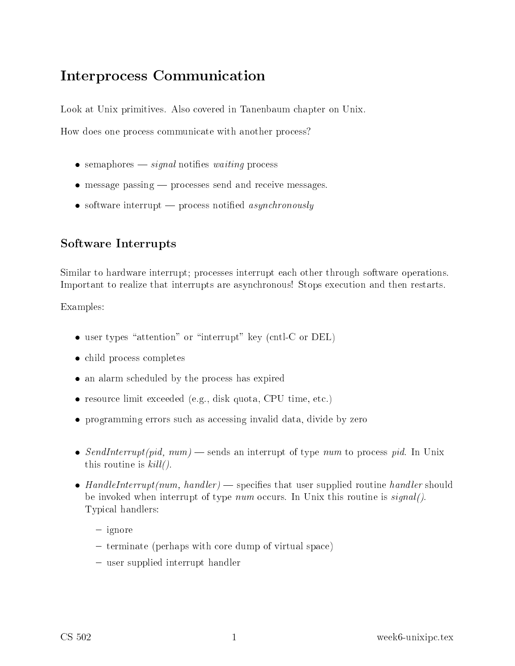## Interpro
ess Communi
ation

Look at Unix primitives. Also covered in Tanenbaum chapter on Unix.

How does one process communicate with another process?

- $\bullet$  semaphores  $-\text{signal}$  notifies *waiting* process
- message passing processes send and receive messages.
- software interrupt process notified *asynchronously*

## Software Interrupts

Similar to hardware interrupt; processes interrupt each other through software operations. Important to realize that interrupts are asynchronous! Stops execution and then restarts.

Examples:

- $\bullet$  user types "attention" or "interrupt" key (cntl-C or DEL)
- child process completes
- an alarm scheduled by the process has expired
- resour
e limit ex
eeded (e.g., disk quota, CPU time, et
.)
- programming errors such as accessing invalid data, divide by zero
- SendInterrupt(pid, num) sends an interrupt of type num to process pid. In Unix this routine is  $kill($ .
- HandleInterrupt(num, handler) specifies that user supplied routine handler should be invoked when interrupt of type *num* occurs. In Unix this routine is  $sianal()$ . Typi
al handlers:
	- $=$ ignore
	- terminate (perhaps with core dump of virtual space)
	- user supplied interrupt handler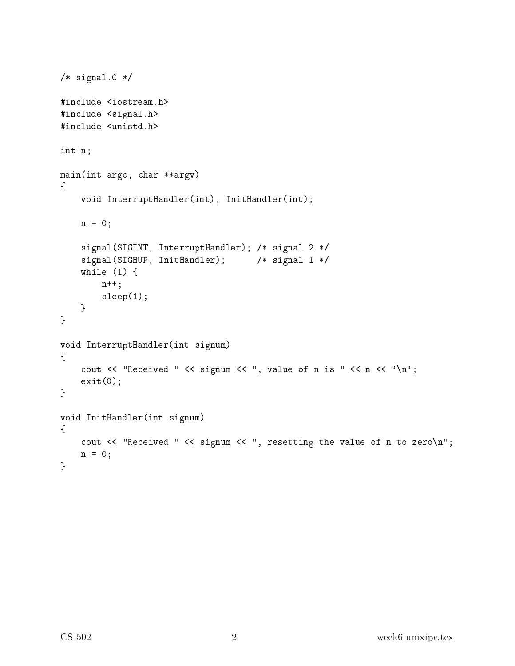```
/* signal.C */
#in
lude <iostream.h>
#in
lude <signal.h>
int n;
main(int arg
, 
har **argv)
\mathcal{F}\simvoid InterruptHandler(int), InitHandler(int);
    n = 0;
    signal(SIGINT, InterruptHandler); /* signal 2 */
    signal(SIGHUP, InitHandler); /* signal 1 */
    while (1) {
         n++;
         sleep(1);
    }
\mathcal{L}}
void InterruptHandler(int signum)
{
    cout \lt\lt "Received " \lt\lt signum \lt\lt ", value of n is " \lt\lt n \lt\lt '\n';
    exit(0);}
void InitHandler(int signum)
{
    cout << "Received " << signum << ", resetting the value of n to zero\n";
    n = 0;\mathcal{F}}
```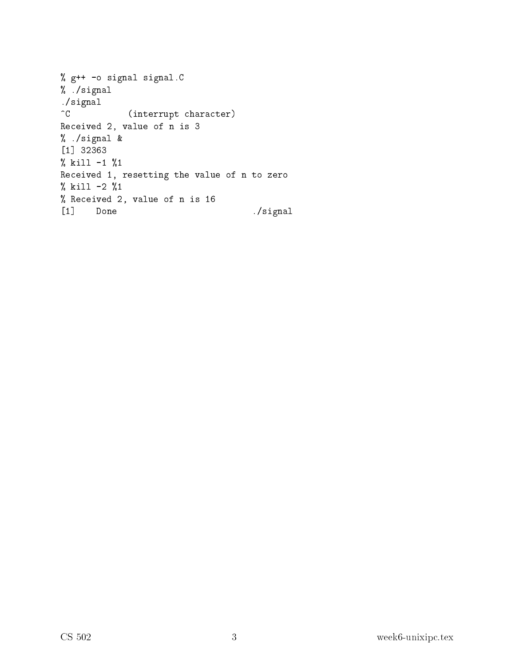| % g++ -o signal signal.C                     |          |
|----------------------------------------------|----------|
| % /signal                                    |          |
| ./signal                                     |          |
| $\hat{C}$<br>(interrupt character)           |          |
| Received 2, value of n is 3                  |          |
| % ./signal &                                 |          |
| $\lceil 1 \rceil$ 32363                      |          |
| $\%$ kill -1 $\%1$                           |          |
| Received 1, resetting the value of n to zero |          |
| % kill -2 %1                                 |          |
| % Received 2, value of n is 16               |          |
| $\lceil 1 \rceil$<br>Done                    | ./signal |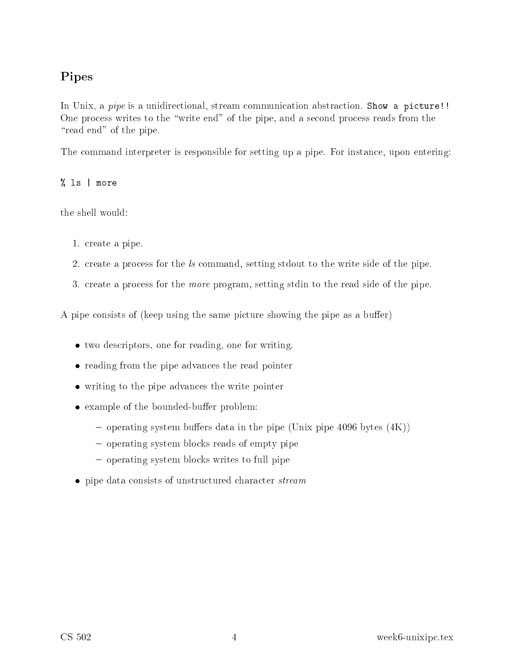## Pipes

In Unix, a *pipe* is a unidirectional, stream communication abstraction. Show a picture!! One process writes to the "write end" of the pipe, and a second process reads from the "read end" of the pipe.

The command interpreter is responsible for setting up a pipe. For instance, upon entering:

% ls | more

the shell would:

- 1. reate a pipe.
- 2. create a process for the ls command, setting stdout to the write side of the pipe.
- 3. reate a pro
ess for the more program, setting stdin to the read side of the pipe.

A pipe consists of (keep using the same picture showing the pipe as a buffer)

- two descriptors, one for reading, one for writing.
- reading from the pipe advances the read pointer
- writing to the pipe advan
es the write pointer
- example of the bounded-buffer problem:
	- $\sim$  operating system buffers data in the pipe (Unix pipe 4096 bytes (4K))
	- operating system blocks reads of empty pipe
	- { operating system blo
	ks writes to full pipe
- pipe data consists of unstructured character *stream*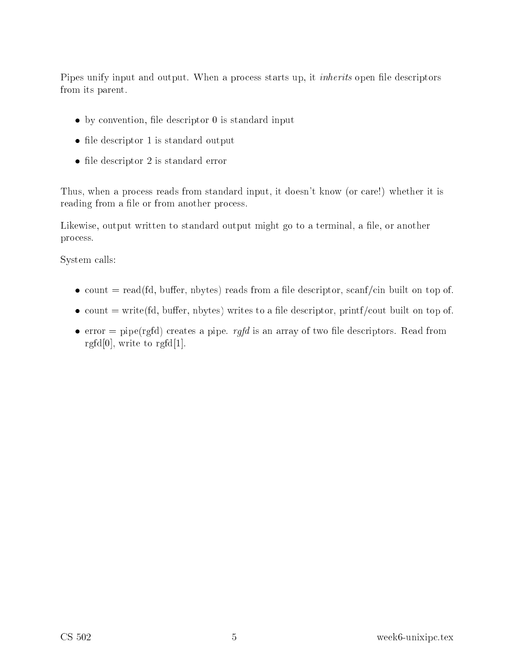Pipes unify input and output. When a process starts up, it *inherits* open file descriptors from its parent.

- $\bullet$  by convention, file descriptor 0 is standard input
- file descriptor 1 is standard output
- file descriptor 2 is standard error

Thus, when a process reads from standard input, it doesn't know (or care!) whether it is reading from a file or from another process.

Likewise, output written to standard output might go to a terminal, a file, or another pro
ess.

System alls:

- $\bullet$  count = read(fd, buffer, nbytes) reads from a file descriptor, scanf/cin built on top of.
- $\bullet$  count = write (fd, buffer, nbytes) writes to a file descriptor, printf/cout built on top of.
- error = pipe(rgfd) creates a pipe. *rgfd* is an array of two file descriptors. Read from rgfd $[0]$ , write to rgfd $[1]$ .